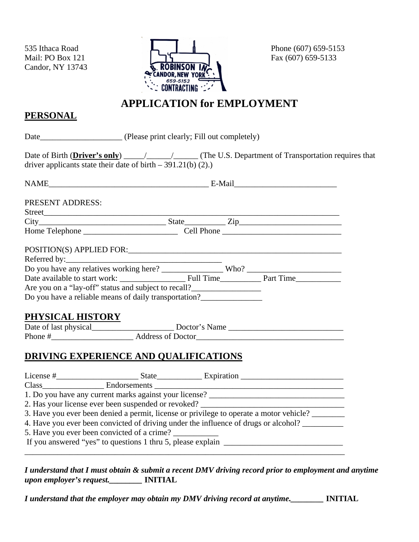Candor, NY 13743



### **APPLICATION for EMPLOYMENT**

### **PERSONAL**

| driver applicants state their date of birth $-391.21(b)$ (2).)                    |  |  |
|-----------------------------------------------------------------------------------|--|--|
|                                                                                   |  |  |
| <b>PRESENT ADDRESS:</b>                                                           |  |  |
|                                                                                   |  |  |
|                                                                                   |  |  |
|                                                                                   |  |  |
| POSITION(S) APPLIED FOR:                                                          |  |  |
|                                                                                   |  |  |
|                                                                                   |  |  |
|                                                                                   |  |  |
| Are you on a "lay-off" status and subject to recall?                              |  |  |
| Do you have a reliable means of daily transportation?                             |  |  |
|                                                                                   |  |  |
| PHYSICAL HISTORY                                                                  |  |  |
|                                                                                   |  |  |
|                                                                                   |  |  |
| <b>DRIVING EXPERIENCE AND QUALIFICATIONS</b>                                      |  |  |
|                                                                                   |  |  |
|                                                                                   |  |  |
|                                                                                   |  |  |
| 1. Do you have any current marks against your license? __________________________ |  |  |
|                                                                                   |  |  |

3. Have you ever been denied a permit, license or privilege to operate a motor vehicle? \_\_\_\_\_\_\_ 4. Have you ever been convicted of driving under the influence of drugs or alcohol?

5. Have you ever been convicted of a crime?

If you answered "yes" to questions 1 thru 5, please explain  $\Box$ 

*I understand that I must obtain & submit a recent DMV driving record prior to employment and anytime upon employer's request.\_\_\_\_\_\_\_\_* **INITIAL** 

*I understand that the employer may obtain my DMV driving record at anytime.\_\_\_\_\_\_\_\_* **INITIAL** 

\_\_\_\_\_\_\_\_\_\_\_\_\_\_\_\_\_\_\_\_\_\_\_\_\_\_\_\_\_\_\_\_\_\_\_\_\_\_\_\_\_\_\_\_\_\_\_\_\_\_\_\_\_\_\_\_\_\_\_\_\_\_\_\_\_\_\_\_\_\_\_\_\_\_\_\_\_\_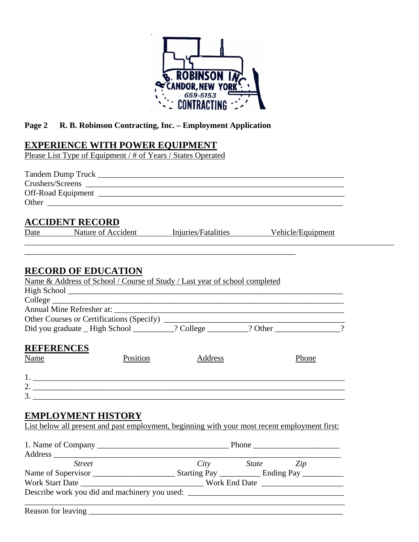

### **Page 2 R. B. Robinson Contracting, Inc. – Employment Application**

### **EXPERIENCE WITH POWER EQUIPMENT**

Please List Type of Equipment / # of Years / States Operated

|      | <b>ACCIDENT RECORD</b>                        |          |                                                                                               |                |  |
|------|-----------------------------------------------|----------|-----------------------------------------------------------------------------------------------|----------------|--|
|      |                                               |          | Date Nature of Accident Injuries/Fatalities Vehicle/Equipment                                 |                |  |
|      |                                               |          |                                                                                               |                |  |
|      | <b>RECORD OF EDUCATION</b>                    |          |                                                                                               |                |  |
|      |                                               |          | Name & Address of School / Course of Study / Last year of school completed                    |                |  |
|      |                                               |          |                                                                                               |                |  |
|      |                                               |          |                                                                                               |                |  |
|      |                                               |          |                                                                                               |                |  |
|      |                                               |          |                                                                                               |                |  |
|      |                                               |          | Did you graduate _High School ________? College _______? Other _________________              |                |  |
|      | <b>REFERENCES</b>                             |          |                                                                                               |                |  |
| Name |                                               | Position | <b>Address</b>                                                                                | Phone          |  |
|      |                                               |          |                                                                                               |                |  |
|      |                                               |          |                                                                                               |                |  |
|      |                                               |          | 2. $\overline{\phantom{a}}$                                                                   |                |  |
|      |                                               |          |                                                                                               |                |  |
|      |                                               |          |                                                                                               |                |  |
|      | <b>EMPLOYMENT HISTORY</b>                     |          |                                                                                               |                |  |
|      |                                               |          | List below all present and past employment, beginning with your most recent employment first: |                |  |
|      |                                               |          |                                                                                               |                |  |
|      |                                               |          |                                                                                               |                |  |
|      |                                               |          |                                                                                               |                |  |
|      | <b>Street</b>                                 |          |                                                                                               | City State Zip |  |
|      |                                               |          |                                                                                               |                |  |
|      |                                               |          |                                                                                               |                |  |
|      | Describe work you did and machinery you used: |          |                                                                                               |                |  |

 $\mathcal{L}_\text{max} = \mathcal{L}_\text{max} = \mathcal{L}_\text{max} = \mathcal{L}_\text{max} = \mathcal{L}_\text{max} = \mathcal{L}_\text{max} = \mathcal{L}_\text{max} = \mathcal{L}_\text{max} = \mathcal{L}_\text{max} = \mathcal{L}_\text{max} = \mathcal{L}_\text{max} = \mathcal{L}_\text{max} = \mathcal{L}_\text{max} = \mathcal{L}_\text{max} = \mathcal{L}_\text{max} = \mathcal{L}_\text{max} = \mathcal{L}_\text{max} = \mathcal{L}_\text{max} = \mathcal{$ 

Reason for leaving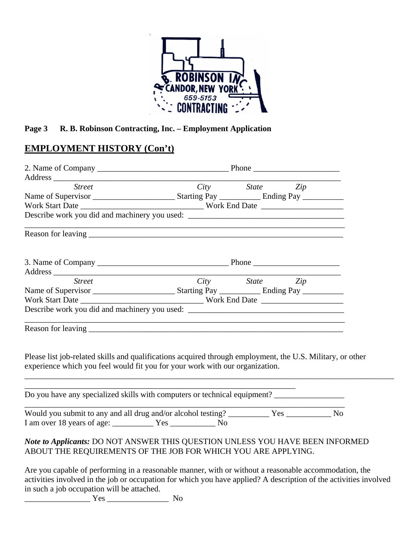

#### **Page 3 R. B. Robinson Contracting, Inc. – Employment Application**

### **EMPLOYMENT HISTORY (Con't)**

| Address Street City State Zip                                                                                                                                                              |                                                                                                                      |                |  |
|--------------------------------------------------------------------------------------------------------------------------------------------------------------------------------------------|----------------------------------------------------------------------------------------------------------------------|----------------|--|
|                                                                                                                                                                                            |                                                                                                                      |                |  |
|                                                                                                                                                                                            |                                                                                                                      |                |  |
| Describe work you did and machinery you used: ___________________________________                                                                                                          |                                                                                                                      |                |  |
|                                                                                                                                                                                            | <u> 1980 - Jan James James Barnett, amerikan basar pada 2000 - James James James James James James James James J</u> |                |  |
|                                                                                                                                                                                            |                                                                                                                      |                |  |
| <b>Street</b>                                                                                                                                                                              |                                                                                                                      | City State Zip |  |
|                                                                                                                                                                                            |                                                                                                                      |                |  |
|                                                                                                                                                                                            |                                                                                                                      |                |  |
| Describe work you did and machinery you used: __________________________________                                                                                                           |                                                                                                                      |                |  |
|                                                                                                                                                                                            |                                                                                                                      |                |  |
| Please list job-related skills and qualifications acquired through employment, the U.S. Military, or other<br>experience which you feel would fit you for your work with our organization. |                                                                                                                      |                |  |
| Do you have any specialized skills with computers or technical equipment? _________________________                                                                                        |                                                                                                                      |                |  |
| Would you submit to any and all drug and/or alcohol testing? ____________ Yes ____________ No                                                                                              |                                                                                                                      |                |  |
| Note to Applicants: DO NOT ANSWER THIS QUESTION UNLESS YOU HAVE BEEN INFORMED<br>ABOUT THE REQUIREMENTS OF THE JOB FOR WHICH YOU ARE APPLYING.                                             |                                                                                                                      |                |  |
| Are you capable of performing in a reasonable manner, with or without a reasonable accommodation, the                                                                                      |                                                                                                                      |                |  |

activities involved in the job or occupation for which you have applied? A description of the activities involved in such a job occupation will be attached.

 $Yes$  No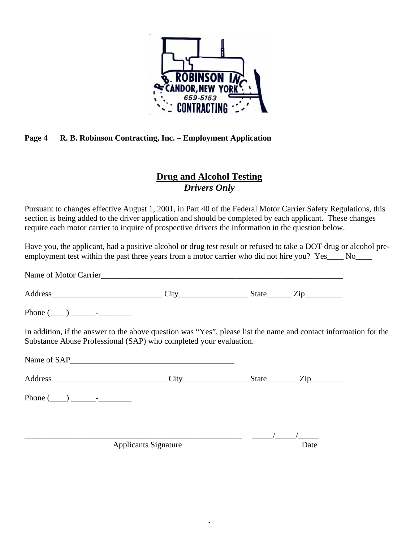

#### **Page 4 R. B. Robinson Contracting, Inc. – Employment Application**

### **Drug and Alcohol Testing**  *Drivers Only*

Pursuant to changes effective August 1, 2001, in Part 40 of the Federal Motor Carrier Safety Regulations, this section is being added to the driver application and should be completed by each applicant. These changes require each motor carrier to inquire of prospective drivers the information in the question below.

Have you, the applicant, had a positive alcohol or drug test result or refused to take a DOT drug or alcohol preemployment test within the past three years from a motor carrier who did not hire you? Yes No

Name of Motor Carrier

Address\_\_\_\_\_\_\_\_\_\_\_\_\_\_\_\_\_\_\_\_\_\_\_\_\_\_\_ City\_\_\_\_\_\_\_\_\_\_\_\_\_\_\_\_\_ State\_\_\_\_\_\_ Zip\_\_\_\_\_\_\_\_\_

Phone  $(\_\_)$   $\_\_$ 

In addition, if the answer to the above question was "Yes", please list the name and contact information for the Substance Abuse Professional (SAP) who completed your evaluation.

**.** 

Name of SAP

| $\mathbf{v}$<br>. .<br>∽ |  |  |
|--------------------------|--|--|
|                          |  |  |

Phone (\_\_\_\_) \_\_\_\_\_\_-\_\_\_\_\_\_\_\_

\_\_\_\_\_\_\_\_\_\_\_\_\_\_\_\_\_\_\_\_\_\_\_\_\_\_\_\_\_\_\_\_\_\_\_\_\_\_\_\_\_\_\_\_\_\_\_\_\_\_\_\_\_ \_\_\_\_\_/\_\_\_\_\_/\_\_\_\_\_

Applicants Signature Date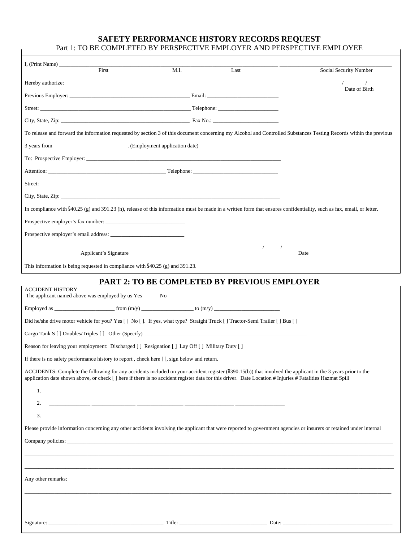#### **SAFETY PERFORMANCE HISTORY RECORDS REQUEST**  Part 1: TO BE COMPLETED BY PERSPECTIVE EMPLOYER AND PERSPECTIVE EMPLOYEE

| I, (Print Name) $\frac{1}{\sqrt{1-\frac{1}{2}}}\left\{ \frac{1}{2}, \frac{1}{2}, \frac{1}{2}, \frac{1}{2}, \frac{1}{2}\right\}$                                                                                                | First                 | M.I. | Last                                                         | Social Security Number                                                                                                                                                |
|--------------------------------------------------------------------------------------------------------------------------------------------------------------------------------------------------------------------------------|-----------------------|------|--------------------------------------------------------------|-----------------------------------------------------------------------------------------------------------------------------------------------------------------------|
| Hereby authorize:                                                                                                                                                                                                              |                       |      |                                                              |                                                                                                                                                                       |
|                                                                                                                                                                                                                                |                       |      |                                                              | Date of Birth                                                                                                                                                         |
|                                                                                                                                                                                                                                |                       |      |                                                              |                                                                                                                                                                       |
|                                                                                                                                                                                                                                |                       |      |                                                              |                                                                                                                                                                       |
|                                                                                                                                                                                                                                |                       |      |                                                              | To release and forward the information requested by section 3 of this document concerning my Alcohol and Controlled Substances Testing Records within the previous    |
| 3 years from _________________________________. (Employment application date)                                                                                                                                                  |                       |      |                                                              |                                                                                                                                                                       |
|                                                                                                                                                                                                                                |                       |      |                                                              |                                                                                                                                                                       |
|                                                                                                                                                                                                                                |                       |      |                                                              |                                                                                                                                                                       |
|                                                                                                                                                                                                                                |                       |      |                                                              |                                                                                                                                                                       |
| City, State, Zip: 2002. The contract of the contract of the contract of the contract of the contract of the contract of the contract of the contract of the contract of the contract of the contract of the contract of the co |                       |      |                                                              |                                                                                                                                                                       |
|                                                                                                                                                                                                                                |                       |      |                                                              | In compliance with §40.25 (g) and 391.23 (h), release of this information must be made in a written form that ensures confidentiality, such as fax, email, or letter. |
|                                                                                                                                                                                                                                |                       |      |                                                              |                                                                                                                                                                       |
|                                                                                                                                                                                                                                |                       |      |                                                              |                                                                                                                                                                       |
|                                                                                                                                                                                                                                |                       |      | $\frac{1}{\sqrt{2}}$                                         |                                                                                                                                                                       |
|                                                                                                                                                                                                                                | Applicant's Signature |      |                                                              | Date                                                                                                                                                                  |
| This information is being requested in compliance with §40.25 (g) and 391.23.                                                                                                                                                  |                       |      |                                                              |                                                                                                                                                                       |
|                                                                                                                                                                                                                                |                       |      | <b>PART 2: TO BE COMPLETED BY PREVIOUS EMPLOYER</b>          |                                                                                                                                                                       |
| <b>ACCIDENT HISTORY</b><br>The applicant named above was employed by us Yes _______ No ______                                                                                                                                  |                       |      |                                                              |                                                                                                                                                                       |
|                                                                                                                                                                                                                                |                       |      |                                                              |                                                                                                                                                                       |
| Did he/she drive motor vehicle for you? Yes [] No []. If yes, what type? Straight Truck [] Tractor-Semi Trailer [] Bus []                                                                                                      |                       |      |                                                              |                                                                                                                                                                       |
|                                                                                                                                                                                                                                |                       |      |                                                              |                                                                                                                                                                       |
| Reason for leaving your employment: Discharged [] Resignation [] Lay Off [] Military Duty []                                                                                                                                   |                       |      |                                                              |                                                                                                                                                                       |
| If there is no safety performance history to report, check here $\lceil \cdot \rceil$ , sign below and return.                                                                                                                 |                       |      |                                                              |                                                                                                                                                                       |
|                                                                                                                                                                                                                                |                       |      |                                                              | ACCIDENTS: Complete the following for any accidents included on your accident register (§390.15(b)) that involved the applicant in the 3 years prior to the           |
|                                                                                                                                                                                                                                |                       |      |                                                              | application date shown above, or check [] here if there is no accident register data for this driver. Date Location # Injuries # Fatalities Hazmat Spill              |
|                                                                                                                                                                                                                                |                       |      |                                                              |                                                                                                                                                                       |
| 2.                                                                                                                                                                                                                             |                       |      | <u> 1990 - Jan James James Barnett, amerikan berlandar (</u> |                                                                                                                                                                       |
| 3.                                                                                                                                                                                                                             |                       |      |                                                              |                                                                                                                                                                       |
|                                                                                                                                                                                                                                |                       |      |                                                              | Please provide information concerning any other accidents involving the applicant that were reported to government agencies or insurers or retained under internal    |
|                                                                                                                                                                                                                                |                       |      |                                                              |                                                                                                                                                                       |
|                                                                                                                                                                                                                                |                       |      |                                                              |                                                                                                                                                                       |
|                                                                                                                                                                                                                                |                       |      |                                                              |                                                                                                                                                                       |
|                                                                                                                                                                                                                                |                       |      |                                                              |                                                                                                                                                                       |
|                                                                                                                                                                                                                                |                       |      |                                                              |                                                                                                                                                                       |
|                                                                                                                                                                                                                                |                       |      |                                                              |                                                                                                                                                                       |
|                                                                                                                                                                                                                                |                       |      |                                                              |                                                                                                                                                                       |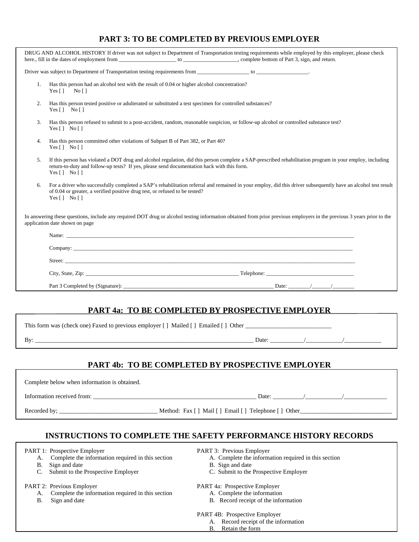#### **PART 3: TO BE COMPLETED BY PREVIOUS EMPLOYER**

| DRUG AND ALCOHOL HISTORY If driver was not subject to Department of Transportation testing requirements while employed by this employer, please check                                                                                                                                                                                                                                                         |
|---------------------------------------------------------------------------------------------------------------------------------------------------------------------------------------------------------------------------------------------------------------------------------------------------------------------------------------------------------------------------------------------------------------|
|                                                                                                                                                                                                                                                                                                                                                                                                               |
| Has this person had an alcohol test with the result of 0.04 or higher alcohol concentration?<br>1.<br>Yes [ ] No [ ]                                                                                                                                                                                                                                                                                          |
| 2.<br>Has this person tested positive or adulterated or substituted a test specimen for controlled substances?<br>Yes [ ] No [ ]                                                                                                                                                                                                                                                                              |
| 3.<br>Has this person refused to submit to a post-accident, random, reasonable suspicion, or follow-up alcohol or controlled substance test?<br>Yes $\lceil \cdot \rceil$ No $\lceil \cdot \rceil$                                                                                                                                                                                                            |
| Has this person committed other violations of Subpart B of Part 382, or Part 40?<br>4.<br>Yes [ ] No [ ]                                                                                                                                                                                                                                                                                                      |
| If this person has violated a DOT drug and alcohol regulation, did this person complete a SAP-prescribed rehabilitation program in your employ, including<br>$\overline{5}$ .<br>return-to-duty and follow-up tests? If yes, please send documentation back with this form.<br>Yes $[ ]$ No $[ ]$                                                                                                             |
| For a driver who successfully completed a SAP's rehabilitation referral and remained in your employ, did this driver subsequently have an alcohol test result<br>6.<br>of 0.04 or greater, a verified positive drug test, or refused to be tested?<br>Yes $[ \ ]$ No $[ \ ]$                                                                                                                                  |
| In answering these questions, include any required DOT drug or alcohol testing information obtained from prior previous employers in the previous 3 years prior to the<br>application date shown on page                                                                                                                                                                                                      |
| Name: $\frac{1}{\sqrt{1-\frac{1}{2}}\sqrt{1-\frac{1}{2}}\sqrt{1-\frac{1}{2}}\sqrt{1-\frac{1}{2}}\sqrt{1-\frac{1}{2}}\sqrt{1-\frac{1}{2}}\sqrt{1-\frac{1}{2}}\sqrt{1-\frac{1}{2}}\sqrt{1-\frac{1}{2}}\sqrt{1-\frac{1}{2}}\sqrt{1-\frac{1}{2}}\sqrt{1-\frac{1}{2}}\sqrt{1-\frac{1}{2}}\sqrt{1-\frac{1}{2}}\sqrt{1-\frac{1}{2}}\sqrt{1-\frac{1}{2}}\sqrt{1-\frac{1}{2}}\sqrt{1-\frac{1}{2}}\sqrt{1-\frac{1}{2}}$ |
| Company: Company: Company: Company: Company: Company: Company: Company: Company: Company: Company: Company: Company: Company: Company: Company: Company: Company: Company: Company: Company: Company: Company: Company: Compan                                                                                                                                                                                |
|                                                                                                                                                                                                                                                                                                                                                                                                               |
|                                                                                                                                                                                                                                                                                                                                                                                                               |
|                                                                                                                                                                                                                                                                                                                                                                                                               |

#### **PART 4a: TO BE COMPLETED BY PROSPECTIVE EMPLOYER**

| This form was (check one) Faxed to previous employer [ ] Mailed [ ] Emailed [ ] Other |       |  |  |  |
|---------------------------------------------------------------------------------------|-------|--|--|--|
| Bv:                                                                                   | Date: |  |  |  |
|                                                                                       |       |  |  |  |

#### **PART 4b: TO BE COMPLETED BY PROSPECTIVE EMPLOYER**

Complete below when information is obtained.

Information received from: \_\_\_\_\_\_\_\_\_\_\_\_\_\_\_\_\_\_\_\_\_\_\_\_\_\_\_\_\_\_\_\_\_\_\_\_\_\_\_\_\_\_\_\_\_\_\_\_\_\_\_\_\_ Date: \_\_\_\_\_\_\_\_\_\_/\_\_\_\_\_\_\_\_\_\_\_\_/\_\_\_\_\_\_\_\_\_\_\_\_\_\_

Recorded by; \_\_\_\_\_\_\_\_\_\_\_\_\_\_\_\_\_\_\_\_\_\_\_\_\_\_\_\_\_\_\_\_ Method: Fax [ ] Mail [ ] Email [ ] Telephone [ ] Other\_\_\_\_\_\_\_\_\_\_\_\_\_\_\_\_\_\_\_\_\_\_\_\_\_\_\_\_\_\_

#### **INSTRUCTIONS TO COMPLETE THE SAFETY PERFORMANCE HISTORY RECORDS**

PART 1: Prospective Employer PART 3: Previous Employer

- A. Complete the information required in this section A. Complete the information required in this section
- 
- C. Submit to the Prospective Employer C. Submit to the Prospective Employer

#### PART 2: Previous Employer PART 4a: Prospective Employer

- A. Complete the information required in this section A. Complete the information
- 
- B. Sign and date B. Sign and date
	-
	-
	-
- B. Sign and date B. Record receipt of the information

PART 4B: Prospective Employer

- A. Record receipt of the information
- B. Retain the form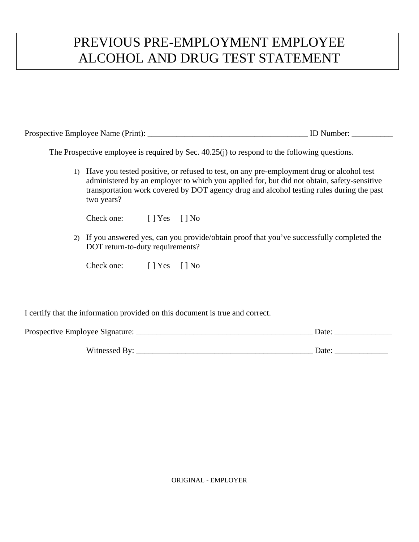# PREVIOUS PRE-EMPLOYMENT EMPLOYEE ALCOHOL AND DRUG TEST STATEMENT

| Prospective Employee Name (Print): |  |
|------------------------------------|--|
|------------------------------------|--|

The Prospective employee is required by Sec. 40.25(j) to respond to the following questions.

1) Have you tested positive, or refused to test, on any pre-employment drug or alcohol test administered by an employer to which you applied for, but did not obtain, safety-sensitive transportation work covered by DOT agency drug and alcohol testing rules during the past two years?

Check one: [ ] Yes [ ] No

2) If you answered yes, can you provide/obtain proof that you've successfully completed the DOT return-to-duty requirements?

Check one: [ ] Yes [ ] No

I certify that the information provided on this document is true and correct.

| Prospective Employee Signature: | Date <sup>.</sup> |
|---------------------------------|-------------------|
| Witnessed By:                   | Date <sup>.</sup> |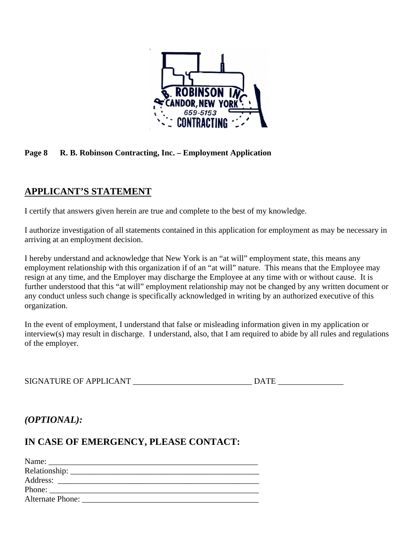

#### **Page 8 R. B. Robinson Contracting, Inc. – Employment Application**

### **APPLICANT'S STATEMENT**

I certify that answers given herein are true and complete to the best of my knowledge.

I authorize investigation of all statements contained in this application for employment as may be necessary in arriving at an employment decision.

I hereby understand and acknowledge that New York is an "at will" employment state, this means any employment relationship with this organization if of an "at will" nature. This means that the Employee may resign at any time, and the Employer may discharge the Employee at any time with or without cause. It is further understood that this "at will" employment relationship may not be changed by any written document or any conduct unless such change is specifically acknowledged in writing by an authorized executive of this organization.

In the event of employment, I understand that false or misleading information given in my application or interview(s) may result in discharge. I understand, also, that I am required to abide by all rules and regulations of the employer.

SIGNATURE OF APPLICANT \_\_\_\_\_\_\_\_\_\_\_\_\_\_\_\_\_\_\_\_\_\_\_\_\_\_\_\_\_ DATE \_\_\_\_\_\_\_\_\_\_\_\_\_\_\_\_

*(OPTIONAL):*

### **IN CASE OF EMERGENCY, PLEASE CONTACT:**

| Phone:                  |  |
|-------------------------|--|
| <b>Alternate Phone:</b> |  |